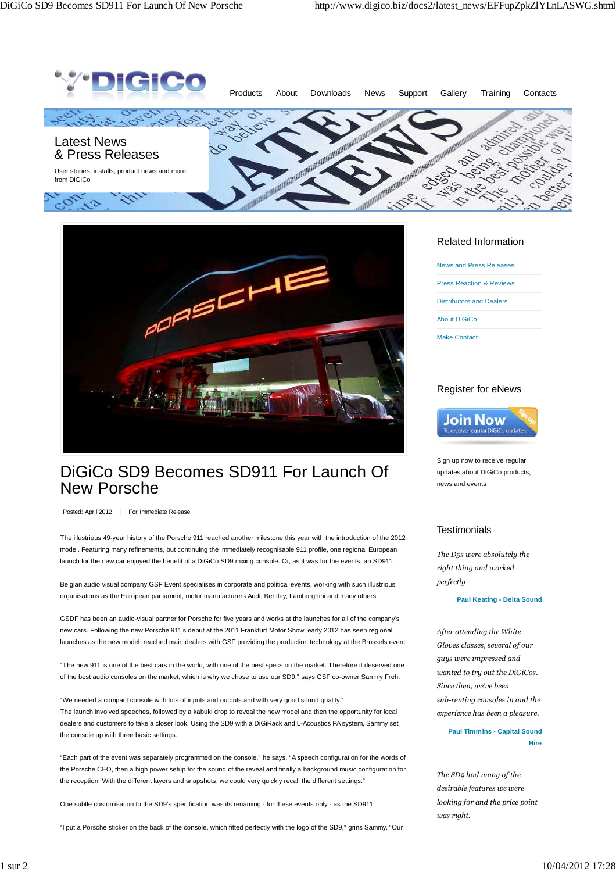



# DiGiCo SD9 Becomes SD911 For Launch Of New Porsche

Posted: April 2012 | For Immediate Release

The illustrious 49-year history of the Porsche 911 reached another milestone this year with the introduction of the 2012 model. Featuring many refinements, but continuing the immediately recognisable 911 profile, one regional European launch for the new car enjoyed the benefit of a DiGiCo SD9 mixing console. Or, as it was for the events, an SD911.

Belgian audio visual company GSF Event specialises in corporate and political events, working with such illustrious organisations as the European parliament, motor manufacturers Audi, Bentley, Lamborghini and many others.

GSDF has been an audio-visual partner for Porsche for five years and works at the launches for all of the company's new cars. Following the new Porsche 911's debut at the 2011 Frankfurt Motor Show, early 2012 has seen regional launches as the new model reached main dealers with GSF providing the production technology at the Brussels event.

"The new 911 is one of the best cars in the world, with one of the best specs on the market. Therefore it deserved one of the best audio consoles on the market, which is why we chose to use our SD9," says GSF co-owner Sammy Freh.

"We needed a compact console with lots of inputs and outputs and with very good sound quality." The launch involved speeches, followed by a kabuki drop to reveal the new model and then the opportunity for local dealers and customers to take a closer look. Using the SD9 with a DiGiRack and L-Acoustics PA system, Sammy set the console up with three basic settings.

"Each part of the event was separately programmed on the console," he says. "A speech configuration for the words of the Porsche CEO, then a high power setup for the sound of the reveal and finally a background music configuration for the reception. With the different layers and snapshots, we could very quickly recall the different settings."

One subtle customisation to the SD9's specification was its renaming - for these events only - as the SD911.

"I put a Porsche sticker on the back of the console, which fitted perfectly with the logo of the SD9," grins Sammy. "Our

#### Related Information

News and Press Releases Press Reaction & Reviews Distributors and Dealers About DiGiCo

Make Contact

### Register for eNews



Sign up now to receive regular updates about DiGiCo products, news and events

### **Testimonials**

*The D5s were absolutely the right thing and worked perfectly*

**Paul Keating - Delta Sound**

*After attending the White Gloves classes, several of our guys were impressed and wanted to try out the DiGiCos. Since then, we've been sub-renting consoles in and the experience has been a pleasure.*

> **Paul Timmins - Capital Sound Hire**

*The SD9 had many of the desirable features we were looking for and the price point was right.*